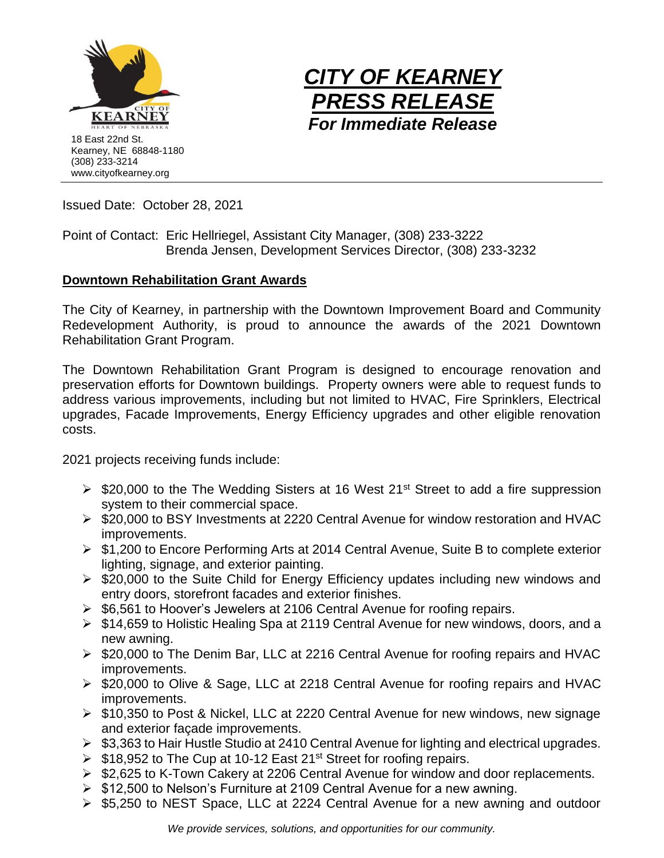



Issued Date: October 28, 2021

Point of Contact: Eric Hellriegel, Assistant City Manager, (308) 233-3222 Brenda Jensen, Development Services Director, (308) 233-3232

## **Downtown Rehabilitation Grant Awards**

The City of Kearney, in partnership with the Downtown Improvement Board and Community Redevelopment Authority, is proud to announce the awards of the 2021 Downtown Rehabilitation Grant Program.

The Downtown Rehabilitation Grant Program is designed to encourage renovation and preservation efforts for Downtown buildings. Property owners were able to request funds to address various improvements, including but not limited to HVAC, Fire Sprinklers, Electrical upgrades, Facade Improvements, Energy Efficiency upgrades and other eligible renovation costs.

2021 projects receiving funds include:

- $\triangleright$  \$20,000 to the The Wedding Sisters at 16 West 21<sup>st</sup> Street to add a fire suppression system to their commercial space.
- ➢ \$20,000 to BSY Investments at 2220 Central Avenue for window restoration and HVAC improvements.
- ➢ \$1,200 to Encore Performing Arts at 2014 Central Avenue, Suite B to complete exterior lighting, signage, and exterior painting.
- ➢ \$20,000 to the Suite Child for Energy Efficiency updates including new windows and entry doors, storefront facades and exterior finishes.
- ➢ \$6,561 to Hoover's Jewelers at 2106 Central Avenue for roofing repairs.
- ➢ \$14,659 to Holistic Healing Spa at 2119 Central Avenue for new windows, doors, and a new awning.
- ➢ \$20,000 to The Denim Bar, LLC at 2216 Central Avenue for roofing repairs and HVAC improvements.
- ➢ \$20,000 to Olive & Sage, LLC at 2218 Central Avenue for roofing repairs and HVAC improvements.
- ➢ \$10,350 to Post & Nickel, LLC at 2220 Central Avenue for new windows, new signage and exterior façade improvements.
- ➢ \$3,363 to Hair Hustle Studio at 2410 Central Avenue for lighting and electrical upgrades.
- $\triangleright$  \$18,952 to The Cup at 10-12 East 21<sup>st</sup> Street for roofing repairs.
- ➢ \$2,625 to K-Town Cakery at 2206 Central Avenue for window and door replacements.
- ➢ \$12,500 to Nelson's Furniture at 2109 Central Avenue for a new awning.
- ➢ \$5,250 to NEST Space, LLC at 2224 Central Avenue for a new awning and outdoor